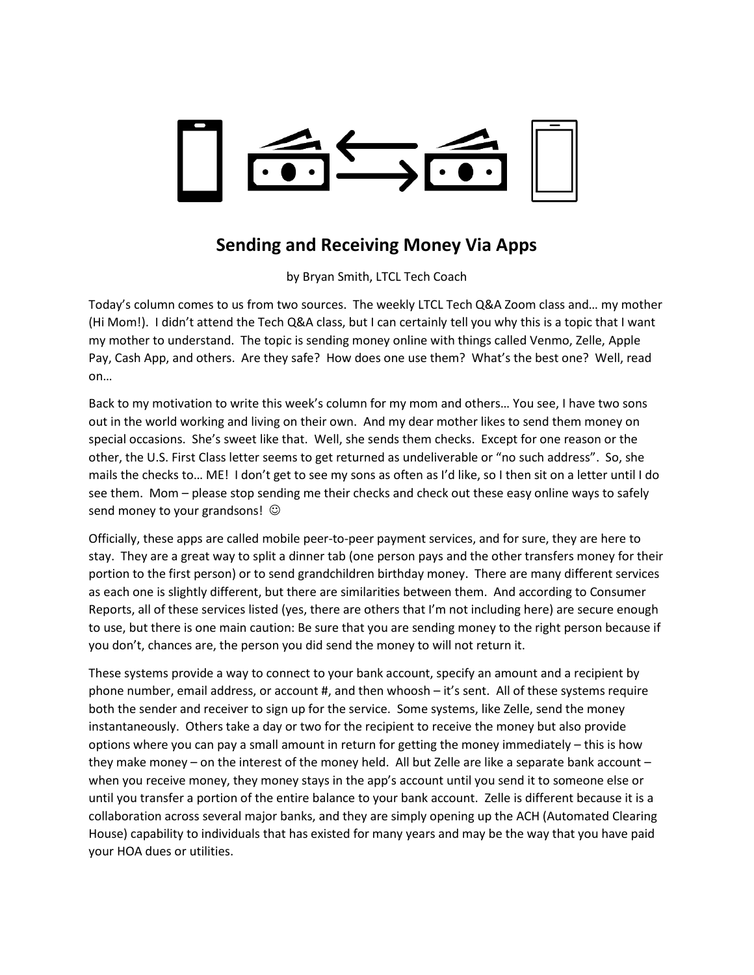

## **Sending and Receiving Money Via Apps**

by Bryan Smith, LTCL Tech Coach

Today's column comes to us from two sources. The weekly LTCL Tech Q&A Zoom class and… my mother (Hi Mom!). I didn't attend the Tech Q&A class, but I can certainly tell you why this is a topic that I want my mother to understand. The topic is sending money online with things called Venmo, Zelle, Apple Pay, Cash App, and others. Are they safe? How does one use them? What's the best one? Well, read on…

Back to my motivation to write this week's column for my mom and others… You see, I have two sons out in the world working and living on their own. And my dear mother likes to send them money on special occasions. She's sweet like that. Well, she sends them checks. Except for one reason or the other, the U.S. First Class letter seems to get returned as undeliverable or "no such address". So, she mails the checks to… ME! I don't get to see my sons as often as I'd like, so I then sit on a letter until I do see them. Mom – please stop sending me their checks and check out these easy online ways to safely send money to your grandsons!  $\odot$ 

Officially, these apps are called mobile peer-to-peer payment services, and for sure, they are here to stay. They are a great way to split a dinner tab (one person pays and the other transfers money for their portion to the first person) or to send grandchildren birthday money. There are many different services as each one is slightly different, but there are similarities between them. And according to Consumer Reports, all of these services listed (yes, there are others that I'm not including here) are secure enough to use, but there is one main caution: Be sure that you are sending money to the right person because if you don't, chances are, the person you did send the money to will not return it.

These systems provide a way to connect to your bank account, specify an amount and a recipient by phone number, email address, or account #, and then whoosh – it's sent. All of these systems require both the sender and receiver to sign up for the service. Some systems, like Zelle, send the money instantaneously. Others take a day or two for the recipient to receive the money but also provide options where you can pay a small amount in return for getting the money immediately – this is how they make money – on the interest of the money held. All but Zelle are like a separate bank account – when you receive money, they money stays in the app's account until you send it to someone else or until you transfer a portion of the entire balance to your bank account. Zelle is different because it is a collaboration across several major banks, and they are simply opening up the ACH (Automated Clearing House) capability to individuals that has existed for many years and may be the way that you have paid your HOA dues or utilities.